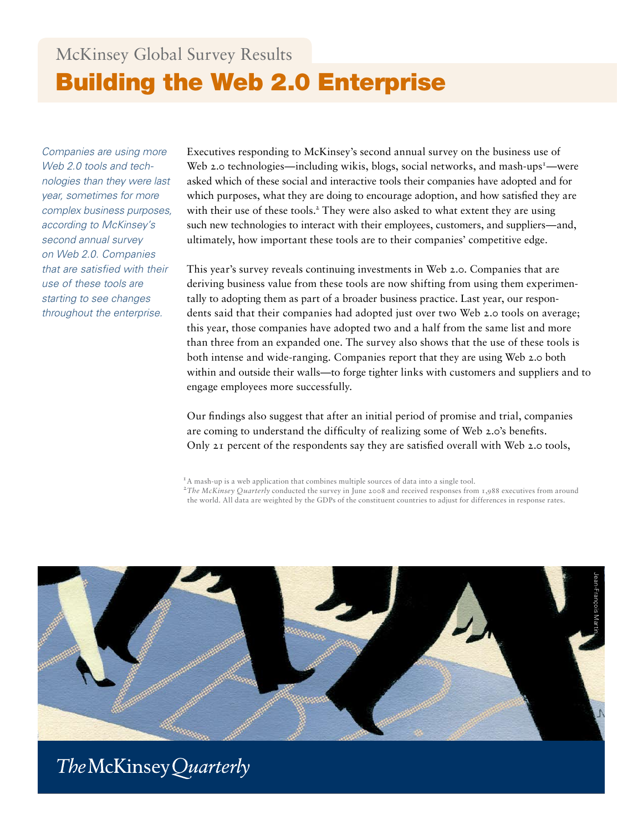# McKinsey Global Survey Results Building the Web 2.0 Enterprise

*Companies are using more Web 2.0 tools and technologies than they were last year, sometimes for more complex business purposes, according to McKinsey's second annual survey on Web 2.0. Companies that are satisfied with their use of these tools are starting to see changes throughout the enterprise.*

Executives responding to McKinsey's second annual survey on the business use of Web 2.0 technologies—including wikis, blogs, social networks, and mash-ups<sup>1</sup>—were asked which of these social and interactive tools their companies have adopted and for which purposes, what they are doing to encourage adoption, and how satisfied they are with their use of these tools.<sup>2</sup> They were also asked to what extent they are using such new technologies to interact with their employees, customers, and suppliers—and, ultimately, how important these tools are to their companies' competitive edge.

This year's survey reveals continuing investments in Web 2.0. Companies that are deriving business value from these tools are now shifting from using them experimentally to adopting them as part of a broader business practice. Last year, our respondents said that their companies had adopted just over two Web 2.0 tools on average; this year, those companies have adopted two and a half from the same list and more than three from an expanded one. The survey also shows that the use of these tools is both intense and wide-ranging. Companies report that they are using Web 2.0 both within and outside their walls—to forge tighter links with customers and suppliers and to engage employees more successfully.

Our findings also suggest that after an initial period of promise and trial, companies are coming to understand the difficulty of realizing some of Web 2.0's benefits. Only 21 percent of the respondents say they are satisfied overall with Web 2.0 tools,



## The McKinsey Quarterly

<sup>&</sup>lt;sup>1</sup>A mash-up is a web application that combines multiple sources of data into a single tool.

<sup>2</sup>*The McKinsey Quarterly* conducted the survey in June 2008 and received responses from 1,988 executives from around the world. All data are weighted by the GDPs of the constituent countries to adjust for differences in response rates.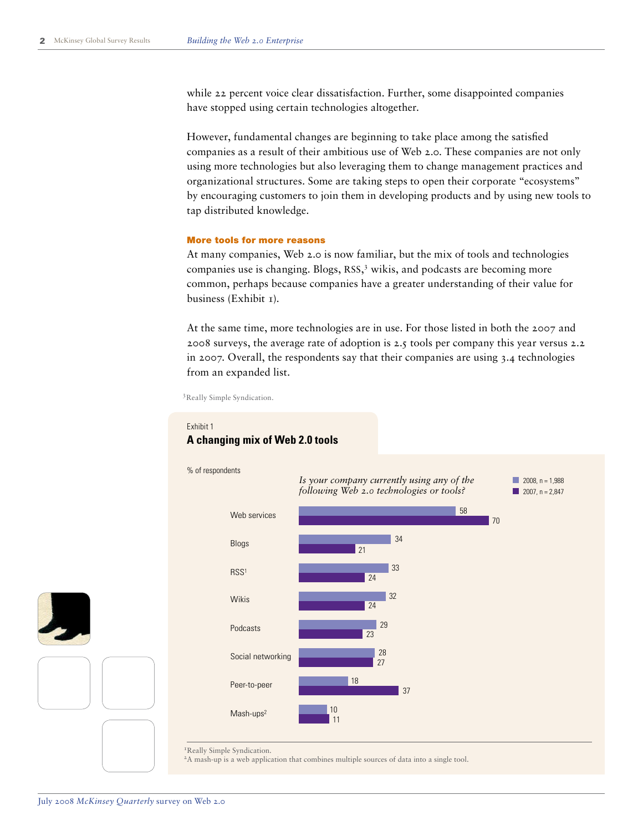while 22 percent voice clear dissatisfaction. Further, some disappointed companies have stopped using certain technologies altogether.

However, fundamental changes are beginning to take place among the satisfied companies as a result of their ambitious use of Web 2.0. These companies are not only using more technologies but also leveraging them to change management practices and organizational structures. Some are taking steps to open their corporate "ecosystems" by encouraging customers to join them in developing products and by using new tools to tap distributed knowledge.

#### More tools for more reasons

At many companies, Web 2.0 is now familiar, but the mix of tools and technologies companies use is changing. Blogs, RSS, 3 wikis, and podcasts are becoming more common, perhaps because companies have a greater understanding of their value for business (Exhibit 1).

At the same time, more technologies are in use. For those listed in both the 2007 and 2008 surveys, the average rate of adoption is 2.5 tools per company this year versus 2.2 in 2007. Overall, the respondents say that their companies are using 3.4 technologies from an expanded list.

<sup>3</sup> Really Simple Syndication.

#### % of respondents <sup>1</sup>Really Simple Syndication. 2A mash-up is a web application that combines multiple sources of data into a single tool. 10 18 28 29 32 33 34 58 11 37 27 23 24 24 21 70 Mash-ups2 Peer-to-peer Social networking Podcasts Wikis RSS1 Blogs Web services *Is your company currently using any of the following Web 2.0 technologies or tools?*  $2008. n = 1.988$  $2007. n = 2.847$

#### **Exhibit title: A changing mix of Web 2.0 tools**  Exhibit 1 **A changing mix of Web 2.0 tools**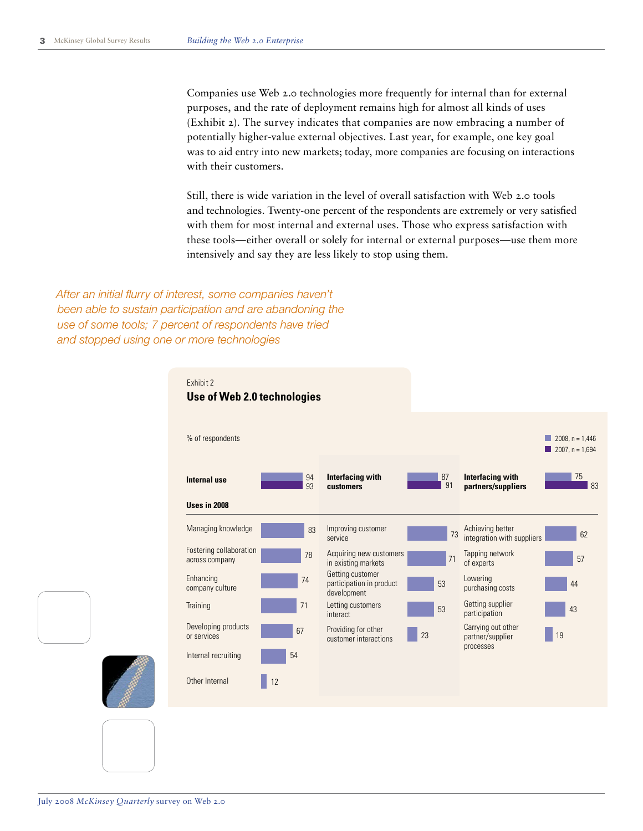Companies use Web 2.0 technologies more frequently for internal than for external purposes, and the rate of deployment remains high for almost all kinds of uses (Exhibit 2). The survey indicates that companies are now embracing a number of potentially higher-value external objectives. Last year, for example, one key goal was to aid entry into new markets; today, more companies are focusing on interactions with their customers.

Still, there is wide variation in the level of overall satisfaction with Web 2.0 tools and technologies. Twenty-one percent of the respondents are extremely or very satisfied with them for most internal and external uses. Those who express satisfaction with these tools—either overall or solely for internal or external purposes—use them more intensively and say they are less likely to stop using them.

**Survey 2008 Web 2.0** *and stopped using one or more technologiesAfter an initial flurry of interest, some companies haven't been able to sustain participation and are abandoning the use of some tools; 7 percent of respondents have tried* 

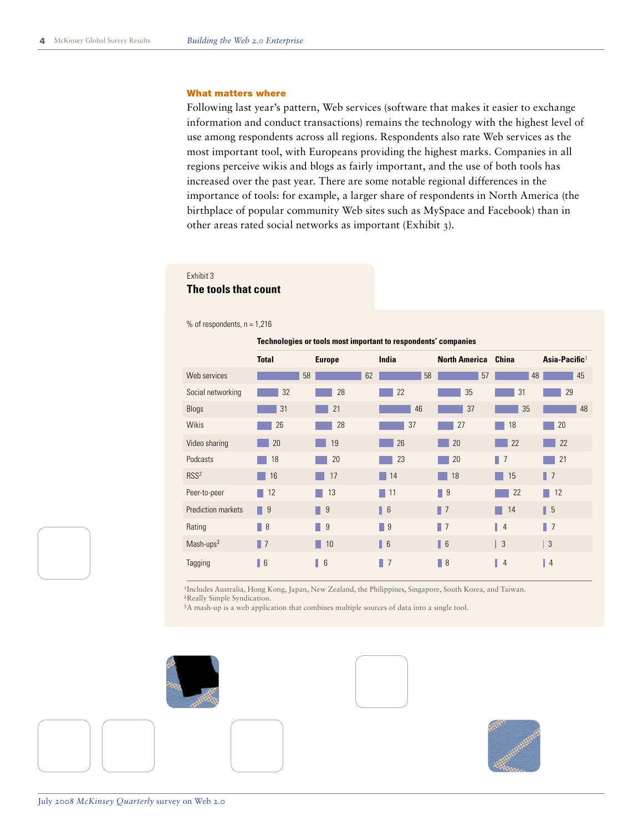#### What matters where

Following last year's pattern, Web services (software that makes it easier to exchange information and conduct transactions) remains the technology with the highest level of use among respondents across all regions. Respondents also rate Web services as the most important tool, with Europeans providing the highest marks. Companies in all regions perceive wikis and blogs as fairly important, and the use of both tools has increased over the past year. There are some notable regional differences in the importance of tools: for example, a larger share of respondents in North America (the birthplace of popular community Web sites such as MySpace and Facebook) than in other areas rated social networks as important (Exhibit 3).

#### **Exhibit 3**<br>-- The tools that matter that matter Exhibit 3

#### **The tools that count**

% of respondents,  $n = 1,216$ 

|                           | Technologies or tools most important to respondents' companies |                  |                  |                      |                     |                           |
|---------------------------|----------------------------------------------------------------|------------------|------------------|----------------------|---------------------|---------------------------|
|                           | <b>Total</b>                                                   | <b>Europe</b>    | India            | <b>North America</b> | <b>China</b>        | Asia-Pacific <sup>1</sup> |
| Web services              |                                                                | 58<br>62         | 58               | 57                   | 48                  | 45                        |
| Social networking         | 32                                                             | 28               | 22               | 35                   | 31                  | 29                        |
| <b>Blogs</b>              | 31                                                             | 21               | 46               | 37                   | 35                  | 48                        |
| <b>Wikis</b>              | 26                                                             | 28               | 37               | 27                   | 18                  | 20                        |
| Video sharing             | 20                                                             | 19               | 26               | 20                   | 22                  | 22                        |
| Podcasts                  | 18                                                             | 20               | 23               | 20                   | П<br>$\overline{7}$ | 21                        |
| RSS <sup>2</sup>          | 16                                                             | 17               | 14               | 18                   | 15                  | $\parallel$ 7             |
| Peer-to-peer              | 12                                                             | 13               | 11               | 9<br>٠               | 22                  | 12                        |
| <b>Prediction markets</b> | $\blacksquare$ 9                                               | $\blacksquare$ 9 | $\blacksquare$ 6 | $\blacksquare$ 7     | 14                  | $\blacksquare$ 5          |
| Rating                    | $\blacksquare$ 8                                               | $\blacksquare$ 9 | ш<br>9           | $\blacksquare$       | $\parallel$ 4       | $\blacksquare$ 7          |
| $Mask-ups3$               | $\blacksquare$                                                 | 10               | $\blacksquare$ 6 | $\blacksquare$ 6     | $\vert$ 3           | 3                         |
| Tagging                   | $\parallel$ 6                                                  | $\blacksquare$   | П<br>7           | $\vert$ 8            | $\overline{4}$      | ı<br>$\overline{4}$       |

<sup>1</sup>Includes Australia, Hong Kong, Japan, New Zealand, the Philippines, Singapore, South Korea, and Taiwan. 2Really Simple Syndication.

3A mash-up is a web application that combines multiple sources of data into a single tool.





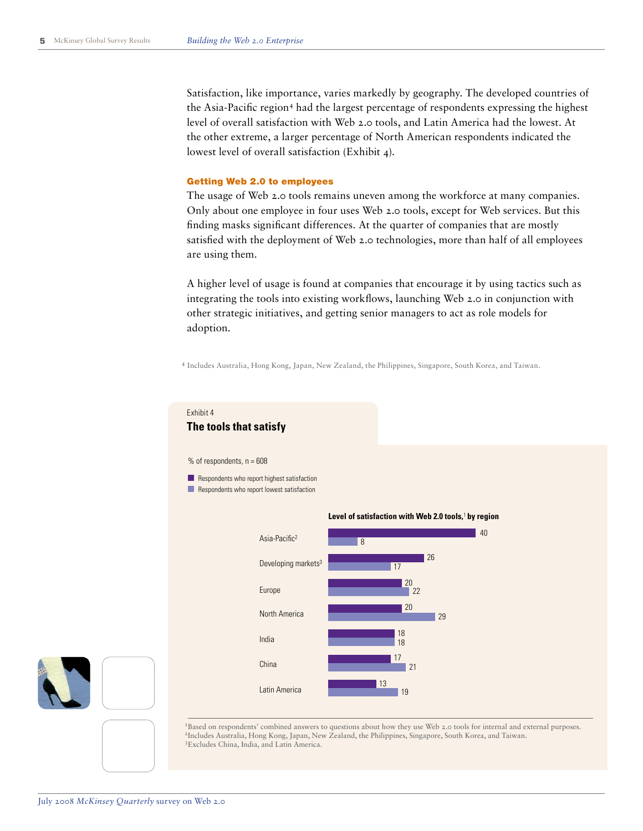Satisfaction, like importance, varies markedly by geography. The developed countries of the Asia-Pacific region<sup>4</sup> had the largest percentage of respondents expressing the highest level of overall satisfaction with Web 2.0 tools, and Latin America had the lowest. At the other extreme, a larger percentage of North American respondents indicated the lowest level of overall satisfaction (Exhibit 4).

#### Getting Web 2.0 to employees

The usage of Web 2.0 tools remains uneven among the workforce at many companies. Only about one employee in four uses Web 2.0 tools, except for Web services. But this finding masks significant differences. At the quarter of companies that are mostly satisfied with the deployment of Web 2.0 technologies, more than half of all employees are using them.

A higher level of usage is found at companies that encourage it by using tactics such as integrating the tools into existing workflows, launching Web 2.0 in conjunction with other strategic initiatives, and getting senior managers to act as role models for adoption.

**Web 2.0** 4 Includes Australia, Hong Kong, Japan, New Zealand, the Philippines, Singapore, South Korea, and Taiwan.

#### **Exhibit title: The tools that satisfy** Exhibit 4 **The tools that satisfy**

 $%$  of respondents,  $n = 608$ 

Respondents who report highest satisfaction

Respondents who report lowest satisfaction



1Based on respondents' combined answers to questions about how they use Web 2.0 tools for internal and external purposes. 2Includes Australia, Hong Kong, Japan, New Zealand, the Philippines, Singapore, South Korea, and Taiwan. 3Excludes China, India, and Latin America.

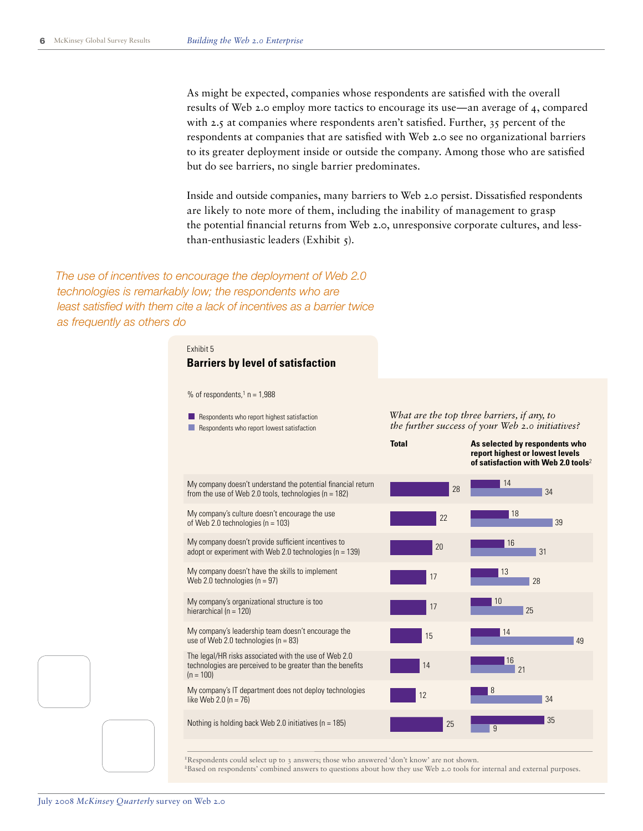As might be expected, companies whose respondents are satisfied with the overall results of Web 2.0 employ more tactics to encourage its use—an average of 4, compared with 2.5 at companies where respondents aren't satisfied. Further, 35 percent of the respondents at companies that are satisfied with Web 2.0 see no organizational barriers to its greater deployment inside or outside the company. Among those who are satisfied but do see barriers, no single barrier predominates.

Inside and outside companies, many barriers to Web 2.0 persist. Dissatisfied respondents are likely to note more of them, including the inability of management to grasp the potential financial returns from Web 2.0, unresponsive corporate cultures, and lessthan-enthusiastic leaders (Exhibit 5).

**Survey 2008** *technologies is remarkably low; the respondents who are*  least satisfied with them cite a lack of incentives as a barrier twice *The use of incentives to encourage the deployment of Web 2.0 as frequently as others do*

#### **Exhibit title: Barriers by level of satisfaction** Exhibit 5

#### **Barriers by level of satisfaction**

% of respondents, $1$  n = 1,988

My company doesn't understand the potential financial return from the use of Web 2.0 tools, technologies ( $n = 182$ ) My company's culture doesn't encourage the use of Web 2.0 technologies ( $n = 103$ ) My company doesn't provide sufficient incentives to adopt or experiment with Web 2.0 technologies ( $n = 139$ ) My company doesn't have the skills to implement Web 2.0 technologies ( $n = 97$ ) My company's organizational structure is too hierarchical ( $n = 120$ ) My company's leadership team doesn't encourage the use of Web 2.0 technologies (n = 83) The legal/HR risks associated with the use of Web 2.0 technologies are perceived to be greater than the benefits  $(n = 100)$ *What are the top three barriers, if any, to*  22 20 17 17 15 14 Respondents who report highest satisfaction Respondents who report lowest satisfaction

*the further success of your Web 2.0 initiatives?*

**Total As selected by respondents who report highest or lowest levels of satisfaction with Web 2.0 tools**<sup>2</sup>



<sup>1</sup>Respondents could select up to 3 answers; those who answered 'don't know' are not shown. <sup>2</sup>Based on respondents' combined answers to questions about how they use Web 2.0 tools for internal and external purposes.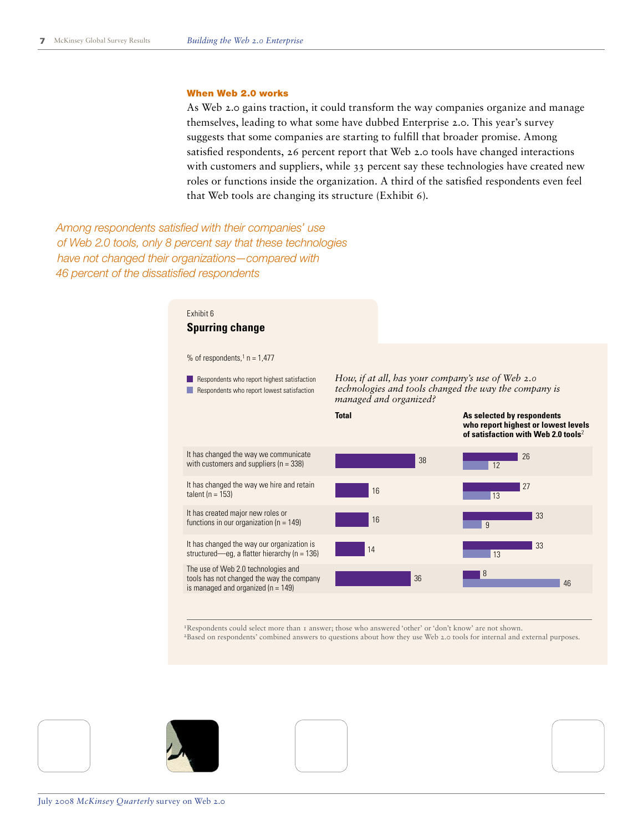#### When Web 2.0 works

As Web 2.0 gains traction, it could transform the way companies organize and manage themselves, leading to what some have dubbed Enterprise 2.0. This year's survey suggests that some companies are starting to fulfill that broader promise. Among satisfied respondents, 26 percent report that Web 2.0 tools have changed interactions with customers and suppliers, while 33 percent say these technologies have created new roles or functions inside the organization. A third of the satisfied respondents even feel that Web tools are changing its structure (Exhibit 6).

**Survey 2008** *have not changed their organizations—compared with*  **Web 2.000 Exhibit 6 of 8** *46 percent of the dissatisfied respondentsAmong respondents satisfied with their companies' use of Web 2.0 tools, only 8 percent say that these technologies* 

## **Exhibit 6 Spurring change**

% of respondents, $1$  n = 1,477

It has changed the way we communicate with customers and suppliers (n = 338) It has changed the way we hire and retain *How, if at all, has your company's use of Web 2.0 technologies and tools changed the way the company is managed and organized?* **Total** Respondents who report highest satisfaction Respondents who report lowest satisfaction

talent ( $n = 153$ )

It has created major new roles or functions in our organization ( $n = 149$ )

It has changed the way our organization is structured—eg, a flatter hierarchy (n = 136) The use of Web 2.0 technologies and

tools has not changed the way the company is managed and organized ( $n = 149$ )



26 **who report highest or lowest levels of satisfaction with Web 2.0 tools**<sup>2</sup>

**As selected by respondents** 



1Respondents could select more than 1 answer; those who answered 'other' or 'don't know' are not shown.

2Based on respondents' combined answers to questions about how they use Web 2.0 tools for internal and external purposes.





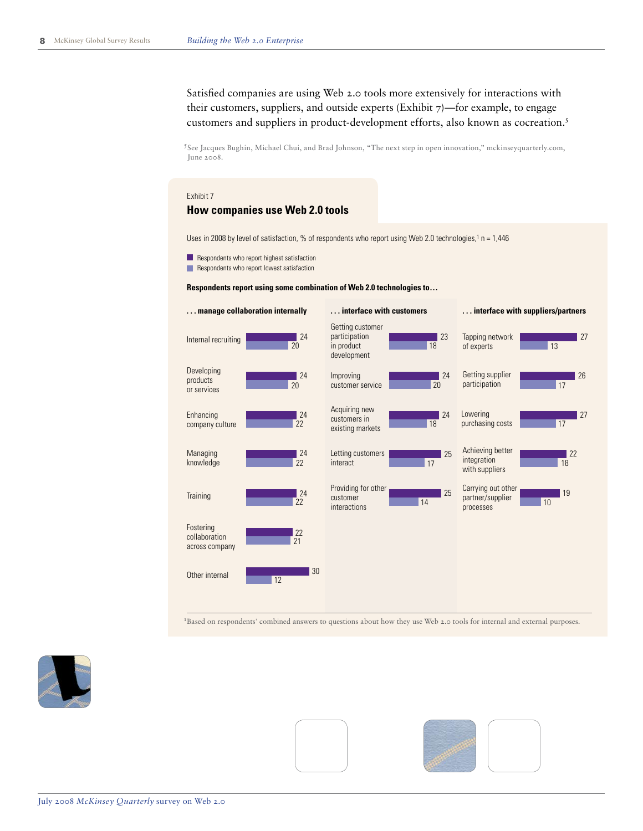Satisfied companies are using Web 2.0 tools more extensively for interactions with their customers, suppliers, and outside experts (Exhibit  $7$ )—for example, to engage customers and suppliers in product-development efforts, also known as cocreation.5

<sup>5</sup> See Jacques Bughin, Michael Chui, and Brad Johnson, "The next step in open innovation," mckinseyquarterly.com, **Exhibit 7 of 8** June 2008.

#### **Exhibit title: How companies use Web 2.0 tools** Exhibit 7

#### **How companies use Web 2.0 tools**

Uses in 2008 by level of satisfaction, % of respondents who report using Web 2.0 technologies,<sup>1</sup> n = 1,446

- Respondents who report highest satisfaction
- Respondents who report lowest satisfaction

#### **Respondents report using some combination of Web 2.0 technologies to…**



1Based on respondents' combined answers to questions about how they use Web 2.0 tools for internal and external purposes.



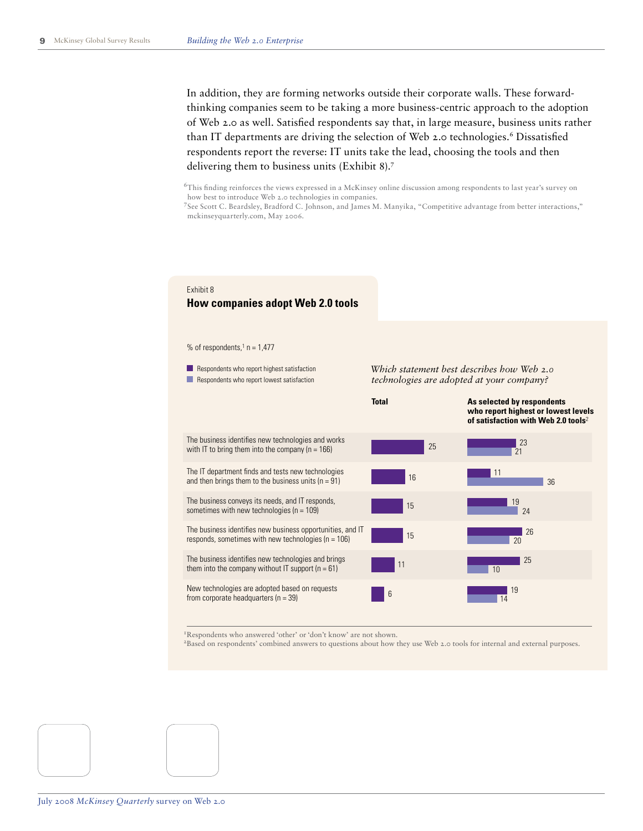In addition, they are forming networks outside their corporate walls. These forwardthinking companies seem to be taking a more business-centric approach to the adoption of Web 2.0 as well. Satisfied respondents say that, in large measure, business units rather than IT departments are driving the selection of Web 2.0 technologies.<sup>6</sup> Dissatisfied respondents report the reverse: IT units take the lead, choosing the tools and then delivering them to business units (Exhibit 8).7

6 This finding reinforces the views expressed in a McKinsey online discussion among respondents to last year's survey on how best to introduce Web 2.0 technologies in companies.

7 See Scott C. Beardsley, Bradford C. Johnson, and James M. Manyika, "Competitive advantage from better interactions," mckinseyquarterly.com, May 2006.

### Exhibit 8

## **How companies adopt Web 2.0 tools**

% of respondents, $1$  n = 1,477

The business identifies new technologies and works with IT to bring them into the company ( $n = 166$ ) The IT department finds and tests new technologies and then brings them to the business units  $(n = 91)$ The business conveys its needs, and IT responds, sometimes with new technologies ( $n = 109$ ) The business identifies new business opportunities, and IT responds, sometimes with new technologies (n = 106) The business identifies new technologies and brings them into the company without IT support  $(n = 61)$ New technologies are adopted based on requests from corporate headquarters (n = 39) *Which statement best describes how Web 2.0 technologies are adopted at your company?* **Total** 25 16 15 15 11 23  $\overline{21}$ 11 36 19 24 26  $20$  $\blacksquare$  25  $10$ <sup>6</sup> <sup>19</sup> 14 **As selected by respondents who report highest or lowest levels of satisfaction with Web 2.0 tools**<sup>2</sup> Respondents who report highest satisfaction Respondents who report lowest satisfaction

<sup>1</sup>Respondents who answered 'other' or 'don't know' are not shown.

2Based on respondents' combined answers to questions about how they use Web 2.0 tools for internal and external purposes.